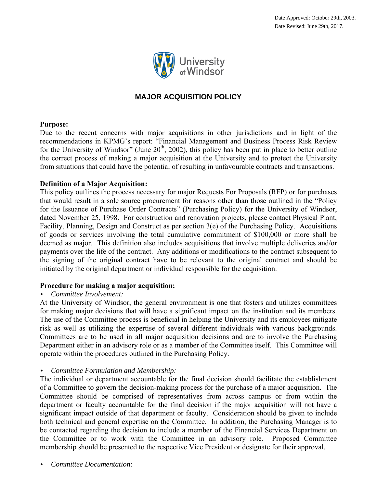

# **MAJOR ACQUISITION POLICY**

#### **Purpose:**

Due to the recent concerns with major acquisitions in other jurisdictions and in light of the recommendations in KPMG's report: "Financial Management and Business Process Risk Review for the University of Windsor" (June  $20<sup>th</sup>$ , 2002), this policy has been put in place to better outline the correct process of making a major acquisition at the University and to protect the University from situations that could have the potential of resulting in unfavourable contracts and transactions.

#### **Definition of a Major Acquisition:**

This policy outlines the process necessary for major Requests For Proposals (RFP) or for purchases that would result in a sole source procurement for reasons other than those outlined in the "Policy for the Issuance of Purchase Order Contracts" (Purchasing Policy) for the University of Windsor, dated November 25, 1998. For construction and renovation projects, please contact Physical Plant, Facility, Planning, Design and Construct as per section 3(e) of the Purchasing Policy. Acquisitions of goods or services involving the total cumulative commitment of \$100,000 or more shall be deemed as major. This definition also includes acquisitions that involve multiple deliveries and/or payments over the life of the contract. Any additions or modifications to the contract subsequent to the signing of the original contract have to be relevant to the original contract and should be initiated by the original department or individual responsible for the acquisition.

# **Procedure for making a major acquisition:**

# • *Committee Involvement:*

At the University of Windsor, the general environment is one that fosters and utilizes committees for making major decisions that will have a significant impact on the institution and its members. The use of the Committee process is beneficial in helping the University and its employees mitigate risk as well as utilizing the expertise of several different individuals with various backgrounds. Committees are to be used in all major acquisition decisions and are to involve the Purchasing Department either in an advisory role or as a member of the Committee itself. This Committee will operate within the procedures outlined in the Purchasing Policy.

# • *Committee Formulation and Membership:*

The individual or department accountable for the final decision should facilitate the establishment of a Committee to govern the decision-making process for the purchase of a major acquisition. The Committee should be comprised of representatives from across campus or from within the department or faculty accountable for the final decision if the major acquisition will not have a significant impact outside of that department or faculty. Consideration should be given to include both technical and general expertise on the Committee. In addition, the Purchasing Manager is to be contacted regarding the decision to include a member of the Financial Services Department on the Committee or to work with the Committee in an advisory role. Proposed Committee membership should be presented to the respective Vice President or designate for their approval.

• *Committee Documentation:*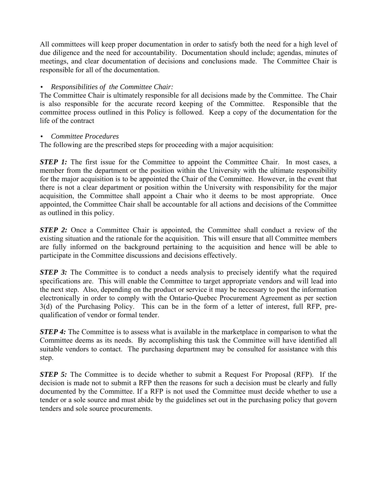All committees will keep proper documentation in order to satisfy both the need for a high level of due diligence and the need for accountability. Documentation should include; agendas, minutes of meetings, and clear documentation of decisions and conclusions made. The Committee Chair is responsible for all of the documentation.

# • *Responsibilities of the Committee Chair:*

The Committee Chair is ultimately responsible for all decisions made by the Committee. The Chair is also responsible for the accurate record keeping of the Committee. Responsible that the committee process outlined in this Policy is followed. Keep a copy of the documentation for the life of the contract

#### • *Committee Procedures*

The following are the prescribed steps for proceeding with a major acquisition:

*STEP 1:* The first issue for the Committee to appoint the Committee Chair. In most cases, a member from the department or the position within the University with the ultimate responsibility for the major acquisition is to be appointed the Chair of the Committee. However, in the event that there is not a clear department or position within the University with responsibility for the major acquisition, the Committee shall appoint a Chair who it deems to be most appropriate. Once appointed, the Committee Chair shall be accountable for all actions and decisions of the Committee as outlined in this policy.

*STEP 2:* Once a Committee Chair is appointed, the Committee shall conduct a review of the existing situation and the rationale for the acquisition. This will ensure that all Committee members are fully informed on the background pertaining to the acquisition and hence will be able to participate in the Committee discussions and decisions effectively.

*STEP 3:* The Committee is to conduct a needs analysis to precisely identify what the required specifications are. This will enable the Committee to target appropriate vendors and will lead into the next step. Also, depending on the product or service it may be necessary to post the information electronically in order to comply with the Ontario-Quebec Procurement Agreement as per section 3(d) of the Purchasing Policy. This can be in the form of a letter of interest, full RFP, prequalification of vendor or formal tender.

*STEP 4:* The Committee is to assess what is available in the marketplace in comparison to what the Committee deems as its needs. By accomplishing this task the Committee will have identified all suitable vendors to contact. The purchasing department may be consulted for assistance with this step.

*STEP 5:* The Committee is to decide whether to submit a Request For Proposal (RFP). If the decision is made not to submit a RFP then the reasons for such a decision must be clearly and fully documented by the Committee. If a RFP is not used the Committee must decide whether to use a tender or a sole source and must abide by the guidelines set out in the purchasing policy that govern tenders and sole source procurements.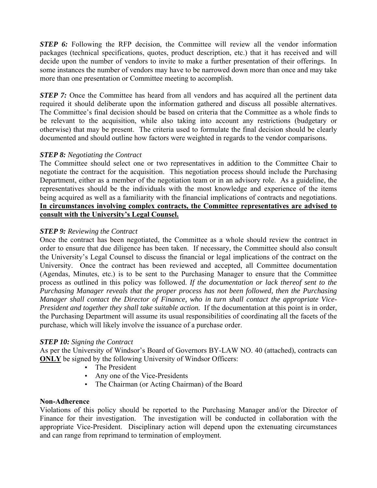*STEP 6:* Following the RFP decision, the Committee will review all the vendor information packages (technical specifications, quotes, product description, etc.) that it has received and will decide upon the number of vendors to invite to make a further presentation of their offerings. In some instances the number of vendors may have to be narrowed down more than once and may take more than one presentation or Committee meeting to accomplish.

*STEP 7:* Once the Committee has heard from all vendors and has acquired all the pertinent data required it should deliberate upon the information gathered and discuss all possible alternatives. The Committee's final decision should be based on criteria that the Committee as a whole finds to be relevant to the acquisition, while also taking into account any restrictions (budgetary or otherwise) that may be present. The criteria used to formulate the final decision should be clearly documented and should outline how factors were weighted in regards to the vendor comparisons.

# *STEP 8: Negotiating the Contract*

The Committee should select one or two representatives in addition to the Committee Chair to negotiate the contract for the acquisition. This negotiation process should include the Purchasing Department, either as a member of the negotiation team or in an advisory role. As a guideline, the representatives should be the individuals with the most knowledge and experience of the items being acquired as well as a familiarity with the financial implications of contracts and negotiations. **In circumstances involving complex contracts, the Committee representatives are advised to consult with the University's Legal Counsel.**

# *STEP 9: Reviewing the Contract*

Once the contract has been negotiated, the Committee as a whole should review the contract in order to ensure that due diligence has been taken. If necessary, the Committee should also consult the University's Legal Counsel to discuss the financial or legal implications of the contract on the University. Once the contract has been reviewed and accepted, all Committee documentation (Agendas, Minutes, etc.) is to be sent to the Purchasing Manager to ensure that the Committee process as outlined in this policy was followed. *If the documentation or lack thereof sent to the Purchasing Manager reveals that the proper process has not been followed, then the Purchasing Manager shall contact the Director of Finance, who in turn shall contact the appropriate Vice-President and together they shall take suitable action.* If the documentation at this point is in order, the Purchasing Department will assume its usual responsibilities of coordinating all the facets of the purchase, which will likely involve the issuance of a purchase order.

#### *STEP 10: Signing the Contract*

As per the University of Windsor's Board of Governors BY-LAW NO. 40 (attached), contracts can **ONLY** be signed by the following University of Windsor Officers:

- The President
- Any one of the Vice-Presidents
- The Chairman (or Acting Chairman) of the Board

#### **Non-Adherence**

Violations of this policy should be reported to the Purchasing Manager and/or the Director of Finance for their investigation. The investigation will be conducted in collaboration with the appropriate Vice-President. Disciplinary action will depend upon the extenuating circumstances and can range from reprimand to termination of employment.